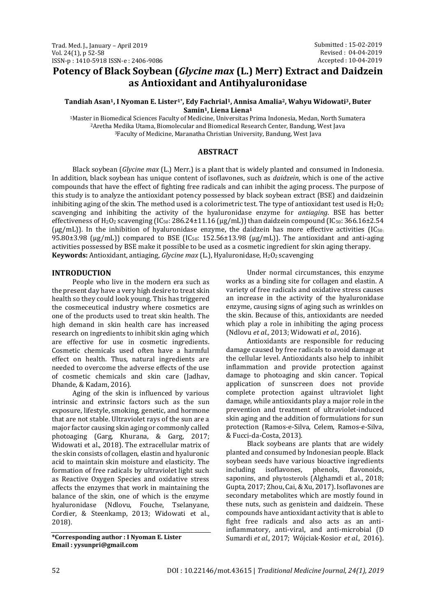# **Potency of Black Soybean (***Glycine max* **(L.) Merr) Extract and Daidzein as Antioxidant and Antihyaluronidase**

#### **Tandiah Asan1, I Nyoman E. Lister1\* , Edy Fachrial1, Annisa Amalia2, Wahyu Widowati3, Buter Samin1, Liena Liena<sup>1</sup>**

<sup>1</sup>Master in Biomedical Sciences Faculty of Medicine, Universitas Prima Indonesia, Medan, North Sumatera <sup>2</sup>Aretha Medika Utama, Biomolecular and Biomedical Research Center, Bandung, West Java <sup>3</sup>Faculty of Medicine, Maranatha Christian University, Bandung, West Java

#### **ABSTRACT**

Black soybean (*Glycine max* (L.) Merr.) is a plant that is widely planted and consumed in Indonesia. In addition, black soybean has unique content of isoflavones, such as *daidzein*, which is one of the active compounds that have the effect of fighting free radicals and can inhibit the aging process. The purpose of this study is to analyze the antioxidant potency possessed by black soybean extract (BSE) and daidzeinin inhibiting aging of the skin. The method used is a colorimetric test. The type of antioxidant test used is  $H_2O_2$ scavenging and inhibiting the activity of the hyaluronidase enzyme for *antiaging*. BSE has better effectiveness of H<sub>2</sub>O<sub>2</sub> scavenging (IC<sub>50</sub>: 286.24±11.16 (µg/mL)) than daidzein compound (IC<sub>50</sub>: 366.16±2.54  $(\mu g/mL)$ ). In the inhibition of hyaluronidase enzyme, the daidzein has more effective activities (IC<sub>50:</sub> 95.80 $\pm$ 3.98 (µg/mL)) compared to BSE (IC<sub>50</sub>: 152.56 $\pm$ 13.98 (µg/mL)). The antioxidant and anti-aging activities possessed by BSE make it possible to be used as a cosmetic ingredient for skin aging therapy. **Keywords:** Antioxidant, antiaging, *Glycine max* (L.), Hyaluronidase, H<sub>2</sub>O<sub>2</sub> scavenging

#### **INTRODUCTION**

People who live in the modern era such as the present day have a very high desire to treat skin health so they could look young. This has triggered the cosmeceutical industry where cosmetics are one of the products used to treat skin health. The high demand in skin health care has increased research on ingredients to inhibit skin aging which are effective for use in cosmetic ingredients. Cosmetic chemicals used often have a harmful effect on health. Thus, natural ingredients are needed to overcome the adverse effects of the use of cosmetic chemicals and skin care (Jadhav, Dhande, & Kadam, 2016).

Aging of the skin is influenced by various intrinsic and extrinsic factors such as the sun exposure, lifestyle, smoking, genetic, and hormone that are not stable. Ultraviolet rays of the sun are a major factor causing skin aging or commonly called photoaging (Garg, Khurana, & Garg, 2017; Widowati et al., 2018). The extracellular matrix of the skin consists of collagen, elastin and hyaluronic acid to maintain skin moisture and elasticity. The formation of free radicals by ultraviolet light such as Reactive Oxygen Species and oxidative stress affects the enzymes that work in maintaining the balance of the skin, one of which is the enzyme hyaluronidase (Ndlovu, Fouche, Tselanyane, Cordier, & Steenkamp, 2013; Widowati et al., 2018).

**\*Corresponding author : I Nyoman E. Lister Email : yysunpri@gmail.com**

Under normal circumstances, this enzyme works as a binding site for collagen and elastin. A variety of free radicals and oxidative stress causes an increase in the activity of the hyaluronidase enzyme, causing signs of aging such as wrinkles on the skin. Because of this, antioxidants are needed which play a role in inhibiting the aging process (Ndlovu *et al.,* 2013; Widowati *et al.,* 2016).

Antioxidants are responsible for reducing damage caused by free radicals to avoid damage at the cellular level. Antioxidants also help to inhibit inflammation and provide protection against damage to photoaging and skin cancer. Topical application of sunscreen does not provide complete protection against ultraviolet light damage, while antioxidants play a major role in the prevention and treatment of ultraviolet-induced skin aging and the addition of formulations for sun protection (Ramos-e-Silva, Celem, Ramos-e-Silva, & Fucci-da-Costa, 2013).

Black soybeans are plants that are widely planted and consumed by Indonesian people. Black soybean seeds have various bioactive ingredients including isoflavones, phenols, flavonoids, saponins, and phytosterols (Alghamdi et al., 2018; Gupta, 2017; Zhou, Cai, & Xu, 2017). Isoflavones are secondary metabolites which are mostly found in these nuts, such as genistein and daidzein. These compounds have antioxidant activity that is able to fight free radicals and also acts as an antiinflammatory, anti-viral, and anti-microbial (D Sumardi *et al.,* 2017; Wójciak-Kosior *et al.,* 2016).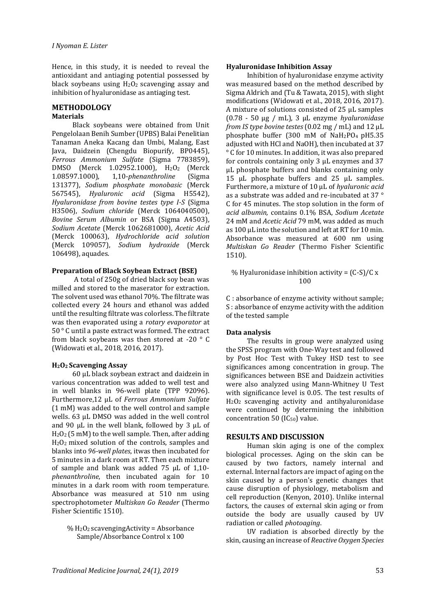Hence, in this study, it is needed to reveal the antioxidant and antiaging potential possessed by black soybeans using  $H<sub>2</sub>O<sub>2</sub>$  scavenging assay and inhibition of hyaluronidase as antiaging test.

# **METHODOLOGY**

### **Materials**

Black soybeans were obtained from Unit Pengelolaan Benih Sumber (UPBS) Balai Penelitian Tanaman Aneka Kacang dan Umbi, Malang, East Java, Daidzein (Chengdu Biopurify, BP0445), *Ferrous Ammonium Sulfate* (Sigma 7783859), DMSO (Merck 1.02952.1000), H2O2 (Merck 1.08597.1000), 1,10-*phenanthroline* (Sigma 131377), *Sodium phosphate monobasic* (Merck 567545), *Hyaluronic acid* (Sigma H5542), *Hyaluronidase from bovine testes type I-S* (Sigma H3506), *Sodium chloride* (Merck 1064040500), *Bovine Serum Albumin* or BSA (Sigma A4503), *Sodium Acetate* (Merck 1062681000), *Acetic Acid*  (Merck 100063), *Hydrochloride acid solution* (Merck 109057), *Sodium hydroxide* (Merck 106498), aquades.

#### **Preparation of Black Soybean Extract (BSE)**

A total of 250g of dried black soy bean was milled and stored to the maserator for extraction. The solvent used was ethanol 70%. The filtrate was collected every 24 hours and ethanol was added until the resulting filtrate was colorless. The filtrate was then evaporated using a *rotary evaporator* at 50 ° C until a paste extract was formed. The extract from black soybeans was then stored at -20 ° C (Widowati et al., 2018, 2016, 2017).

#### **H2O2 Scavenging Assay**

60 µL black soybean extract and daidzein in various concentration was added to well test and in well blanks in 96-well plate (TPP 92096). Furthermore,12 µL of *Ferrous Ammonium Sulfate*  (1 mM) was added to the well control and sample wells. 63 µL DMSO was added in the well control and 90  $\mu$ L in the well blank, followed by 3  $\mu$ L of H2O2 (5 mM) to the well sample. Then, after adding H2O2 mixed solution of the controls, samples and blanks into *96-well plates*, itwas then incubated for 5 minutes in a dark room at RT. Then each mixture of sample and blank was added 75 µL of 1,10 *phenanthroline*, then incubated again for 10 minutes in a dark room with room temperature. Absorbance was measured at 510 nm using spectrophotometer *Multiskan Go Reader* (Thermo Fisher Scientific 1510).

 $% H<sub>2</sub>O<sub>2</sub>$  scavenging Activity = Absorbance Sample/Absorbance Control x 100

#### **Hyaluronidase Inhibition Assay**

Inhibition of hyaluronidase enzyme activity was measured based on the method described by Sigma Aldrich and (Tu & Tawata, 2015), with slight modifications (Widowati et al., 2018, 2016, 2017). A mixture of solutions consisted of 25 µL samples (0.78 - 50 µg / mL), 3 µL enzyme *hyaluronidase from IS type bovine testes* (0.02 mg / mL) and 12 µL phosphate buffer (300 mM of  $NaH<sub>2</sub>PO<sub>4</sub>$  pH5.35 adjusted with HCl and NaOH), then incubated at 37 ° C for 10 minutes. In addition, it was also prepared for controls containing only 3 µL enzymes and 37 µL phosphate buffers and blanks containing only 15 µL phosphate buffers and 25 µL samples. Furthermore, a mixture of 10 µL of *hyaluronic acid*  as a substrate was added and re-incubated at 37 ° C for 45 minutes. The stop solution in the form of *acid albumin,* contains 0.1% BSA, *Sodium Acetate*  24 mM and *Acetic Acid* 79 mM, was added as much as 100 µL into the solution and left at RT for 10 min. Absorbance was measured at 600 nm using *Multiskan Go Reader* (Thermo Fisher Scientific 1510).

% Hyaluronidase inhibition activity =  $(C-S)/C x$ 100

C : absorbance of enzyme activity without sample; S : absorbance of enzyme activity with the addition of the tested sample

#### **Data analysis**

The results in group were analyzed using the SPSS program with One-Way test and followed by Post Hoc Test with Tukey HSD test to see significances among concentration in group. The significances between BSE and Daidzein activities were also analyzed using Mann-Whitney U Test with significance level is 0.05. The test results of H2O2 scavenging activity and antihyaluronidase were continued by determining the inhibition concentration 50 ( $IC_{50}$ ) value.

#### **RESULTS AND DISCUSSION**

Human skin aging is one of the complex biological processes. Aging on the skin can be caused by two factors, namely internal and external. Internal factors are impact of aging on the skin caused by a person's genetic changes that cause disruption of physiology, metabolism and cell reproduction (Kenyon, 2010). Unlike internal factors, the causes of external skin aging or from outside the body are usually caused by UV radiation or called *photoaging*.

UV radiation is absorbed directly by the skin, causing an increase of *Reactive Oxygen Species*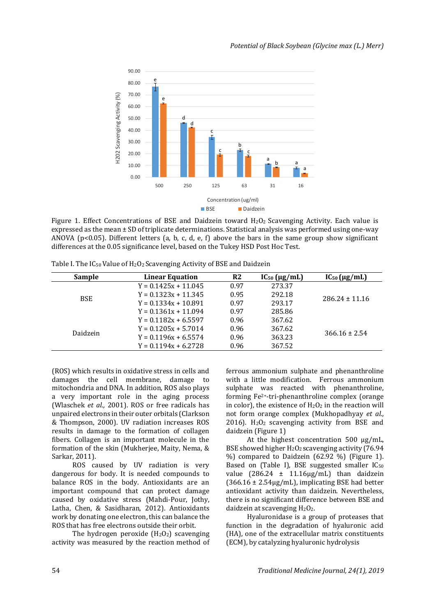

Figure 1. Effect Concentrations of BSE and Daidzein toward  $H_2O_2$  Scavenging Activity. Each value is expressed as the mean ± SD of triplicate determinations. Statistical analysis was performed using one-way ANOVA ( $p<0.05$ ). Different letters (a, b, c, d, e, f) above the bars in the same group show significant differences at the 0.05 significance level, based on the Tukey HSD Post Hoc Test.

Table I. The IC50 Value of H2O2 Scavenging Activity of BSE and Daidzein

| <b>Sample</b> | <b>Linear Equation</b> | R <sub>2</sub> | $IC_{50}$ ( $\mu$ g/mL) | $IC_{50}$ ( $\mu$ g/mL) |
|---------------|------------------------|----------------|-------------------------|-------------------------|
| <b>BSE</b>    | $Y = 0.1425x + 11.045$ | 0.97           | 273.37                  | $286.24 \pm 11.16$      |
|               | $Y = 0.1323x + 11.345$ | 0.95           | 292.18                  |                         |
|               | $Y = 0.1334x + 10.891$ | 0.97           | 293.17                  |                         |
|               | $Y = 0.1361x + 11.094$ | 0.97           | 285.86                  |                         |
| Daidzein      | $Y = 0.1182x + 6.5597$ | 0.96           | 367.62                  | $366.16 \pm 2.54$       |
|               | $Y = 0.1205x + 5.7014$ | 0.96           | 367.62                  |                         |
|               | $Y = 0.1196x + 6.5574$ | 0.96           | 363.23                  |                         |
|               | $Y = 0.1194x + 6.2728$ | 0.96           | 367.52                  |                         |

(ROS) which results in oxidative stress in cells and damages the cell membrane, damage to mitochondria and DNA. In addition, ROS also plays a very important role in the aging process (Wlaschek *et al.,* 2001). ROS or free radicals has unpaired electrons in their outer orbitals (Clarkson & Thompson, 2000). UV radiation increases ROS results in damage to the formation of collagen fibers. Collagen is an important molecule in the formation of the skin (Mukherjee, Maity, Nema, & Sarkar, 2011).

ROS caused by UV radiation is very dangerous for body. It is needed compounds to balance ROS in the body. Antioxidants are an important compound that can protect damage caused by oxidative stress (Mahdi-Pour, Jothy, Latha, Chen, & Sasidharan, 2012). Antioxidants work by donating one electron, this can balance the ROS that has free electrons outside their orbit.

The hydrogen peroxide  $(H_2O_2)$  scavenging activity was measured by the reaction method of

ferrous ammonium sulphate and phenanthroline with a little modification. Ferrous ammonium sulphate was reacted with phenanthroline, forming Fe2+-tri-phenanthroline complex (orange in color), the existence of  $H_2O_2$  in the reaction will not form orange complex (Mukhopadhyay *et al.,* 2016).  $H_2O_2$  scavenging activity from BSE and daidzein (Figure 1)

At the highest concentration 500 µg/mL, BSE showed higher  $H_2O_2$  scavenging activity (76.94 %) compared to Daidzein (62.92 %) (Figure 1). Based on (Table I), BSE suggested smaller  $IC_{50}$ value  $(286.24 \pm 11.16 \mu g/mL)$  than daidzein  $(366.16 \pm 2.54 \mu g/mL)$ , implicating BSE had better antioxidant activity than daidzein. Nevertheless, there is no significant difference between BSE and daidzein at scavenging H<sub>2</sub>O<sub>2</sub>.

Hyaluronidase is a group of proteases that function in the degradation of hyaluronic acid (HA), one of the extracellular matrix constituents (ECM), by catalyzing hyaluronic hydrolysis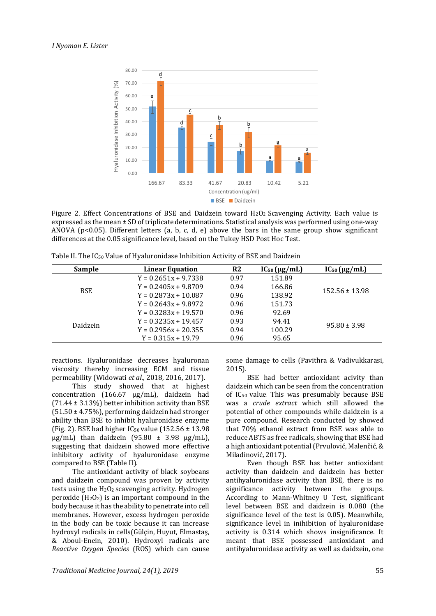

Figure 2. Effect Concentrations of BSE and Daidzein toward  $H_2O_2$  Scavenging Activity. Each value is expressed as the mean ± SD of triplicate determinations. Statistical analysis was performed using one-way ANOVA ( $p<0.05$ ). Different letters (a, b, c, d, e) above the bars in the same group show significant differences at the 0.05 significance level, based on the Tukey HSD Post Hoc Test.

Table II. The IC<sup>50</sup> Value of Hyaluronidase Inhibition Activity of BSE and Daidzein

| Sample     | <b>Linear Equation</b> | R <sub>2</sub> | $IC_{50}$ ( $\mu$ g/mL) | $IC_{50}$ ( $\mu$ g/mL) |
|------------|------------------------|----------------|-------------------------|-------------------------|
| <b>BSE</b> | $Y = 0.2651x + 9.7338$ | 0.97           | 151.89                  | $152.56 \pm 13.98$      |
|            | $Y = 0.2405x + 9.8709$ | 0.94           | 166.86                  |                         |
|            | $Y = 0.2873x + 10.087$ | 0.96           | 138.92                  |                         |
|            | $Y = 0.2643x + 9.8972$ | 0.96           | 151.73                  |                         |
| Daidzein   | $Y = 0.3283x + 19.570$ | 0.96           | 92.69                   | $95.80 \pm 3.98$        |
|            | $Y = 0.3235x + 19.457$ | 0.93           | 94.41                   |                         |
|            | $Y = 0.2956x + 20.355$ | 0.94           | 100.29                  |                         |
|            | $Y = 0.315x + 19.79$   | 0.96           | 95.65                   |                         |

reactions. Hyaluronidase decreases hyaluronan viscosity thereby increasing ECM and tissue permeability (Widowati *et al.,* 2018, 2016, 2017).

This study showed that at highest concentration (166.67 µg/mL), daidzein had  $(71.44 \pm 3.13\%)$  better inhibition activity than BSE (51.50 ± 4.75%), performing daidzein had stronger ability than BSE to inhibit hyaluronidase enzyme (Fig. 2). BSE had higher  $IC_{50}$  value (152.56  $\pm$  13.98)  $\mu$ g/mL) than daidzein (95.80 ± 3.98  $\mu$ g/mL), suggesting that daidzein showed more effective inhibitory activity of hyaluronidase enzyme compared to BSE (Table II).

The antioxidant activity of black soybeans and daidzein compound was proven by activity tests using the  $H_2O_2$  scavenging activity. Hydrogen peroxide  $(H_2O_2)$  is an important compound in the body because it has the ability to penetrate into cell membranes. However, excess hydrogen peroxide in the body can be toxic because it can increase hydroxyl radicals in cells(Gülçin, Huyut, Elmastaş, & Aboul-Enein, 2010). Hydroxyl radicals are *Reactive Oxygen Species* (ROS) which can cause some damage to cells (Pavithra & Vadivukkarasi, 2015).

BSE had better antioxidant acivity than daidzein which can be seen from the concentration of IC50 value. This was presumably because BSE was a *crude extract* which still allowed the potential of other compounds while daidzein is a pure compound. Research conducted by showed that 70% ethanol extract from BSE was able to reduce ABTS as free radicals, showing that BSE had a high antioxidant potential (Prvulović, Malenčić, & Miladinović, 2017).

Even though BSE has better antioxidant activity than daidzein and daidzein has better antihyaluronidase activity than BSE, there is no significance activity between the groups. According to Mann-Whitney U Test, significant level between BSE and daidzein is 0.080 (the significance level of the test is 0.05). Meanwhile, significance level in inihibition of hyaluronidase activity is 0.314 which shows insignificance. It meant that BSE possessed antioxidant and antihyaluronidase activity as well as daidzein, one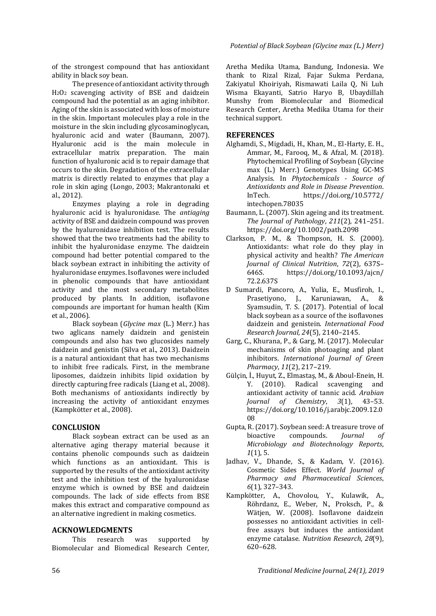of the strongest compound that has antioxidant ability in black soy bean.

The presence of antioxidant activity through H2O2 scavenging activity of BSE and daidzein compound had the potential as an aging inhibitor. Aging of the skin is associated with loss of moisture in the skin. Important molecules play a role in the moisture in the skin including glycosaminoglycan, hyaluronic acid and water (Baumann, 2007). Hyaluronic acid is the main molecule in extracellular matrix preparation. The main function of hyaluronic acid is to repair damage that occurs to the skin. Degradation of the extracellular matrix is directly related to enzymes that play a role in skin aging (Longo, 2003; Makrantonaki et al., 2012).

Enzymes playing a role in degrading hyaluronic acid is hyaluronidase. The *antiaging*  activity of BSE and daidzein compound was proven by the hyaluronidase inhibition test. The results showed that the two treatments had the ability to inhibit the hyaluronidase enzyme. The daidzein compound had better potential compared to the black soybean extract in inhibiting the activity of hyaluronidase enzymes. Isoflavones were included in phenolic compounds that have antioxidant activity and the most secondary metabolites produced by plants. In addition, isoflavone compounds are important for human health (Kim et al., 2006).

Black soybean (*Glycine max* (L.) Merr.) has two aglicans namely daidzein and genistein compounds and also has two glucosides namely daidzein and genistin (Silva et al., 2013). Daidzein is a natural antioxidant that has two mechanisms to inhibit free radicals. First, in the membrane liposomes, daidzein inhibits lipid oxidation by directly capturing free radicals (Liang et al., 2008). Both mechanisms of antioxidants indirectly by increasing the activity of antioxidant enzymes (Kampkötter et al., 2008).

### **CONCLUSION**

Black soybean extract can be used as an alternative aging therapy material because it contains phenolic compounds such as daidzein which functions as an antioxidant. This is supported by the results of the antioxidant activity test and the inhibition test of the hyaluronidase enzyme which is owned by BSE and daidzein compounds. The lack of side effects from BSE makes this extract and comparative compound as an alternative ingredient in making cosmetics.

#### **ACKNOWLEDGMENTS**

This research was supported by Biomolecular and Biomedical Research Center,

Aretha Medika Utama, Bandung, Indonesia. We thank to Rizal Rizal, Fajar Sukma Perdana, Zakiyatul Khoiriyah, Rismawati Laila Q, Ni Luh Wisma Ekayanti, Satrio Haryo B, Ubaydillah Munshy from Biomolecular and Biomedical Research Center, Aretha Medika Utama for their technical support.

#### **REFERENCES**

- Alghamdi, S., Migdadi, H., Khan, M., El-Harty, E. H., Ammar, M., Farooq, M., & Afzal, M. (2018). Phytochemical Profiling of Soybean (Glycine max (L.) Merr.) Genotypes Using GC-MS Analysis. In *Phytochemicals - Source of Antioxidants and Role in Disease Prevention*. InTech. <https://doi.org/10.5772/> intechopen.78035
- Baumann, L. (2007). Skin ageing and its treatment. *The Journal of Pathology*, *211*(2), 241–251. https://doi.org/10.1002/path.2098
- Clarkson, P. M., & Thompson, H. S. (2000). Antioxidants: what role do they play in physical activity and health? *The American Journal of Clinical Nutrition*, *72*(2), 637S– 646S. <https://doi.org/10.1093/ajcn/> 72.2.637S
- D Sumardi, Pancoro, A., Yulia, E., Musfiroh, I., Prasetiyono, J., Karuniawan, A., & Syamsudin, T. S. (2017). Potential of local black soybean as a source of the isoflavones daidzein and genistein. *International Food Research Journal*, *24*(5), 2140–2145.
- Garg, C., Khurana, P., & Garg, M. (2017). Molecular mechanisms of skin photoaging and plant inhibitors. *International Journal of Green Pharmacy*, *11*(2), 217–219.
- Gülçin, İ., Huyut, Z., Elmastaş, M., & Aboul-Enein, H. Y. (2010). Radical scavenging and antioxidant activity of tannic acid. *Arabian Journal of Chemistry*, *3*(1), 43–53. https://doi.org/10.1016/j.arabjc.2009.12.0 08
- Gupta, R. (2017). Soybean seed: A treasure trove of bioactive compounds. *Journal of Microbiology and Biotechnology Reports*, *1*(1), 5.
- Jadhav, V., Dhande, S., & Kadam, V. (2016). Cosmetic Sides Effect. *World Journal of Pharmacy and Pharmaceutical Sciences*, *6*(1), 327–343.
- Kampkötter, A., Chovolou, Y., Kulawik, A., Röhrdanz, E., Weber, N., Proksch, P., & Wätjen, W. (2008). Isoflavone daidzein possesses no antioxidant activities in cellfree assays but induces the antioxidant enzyme catalase. *Nutrition Research*, *28*(9), 620–628.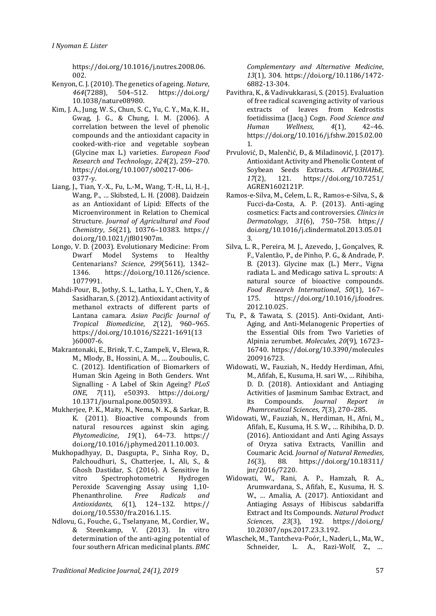https://doi.org/10.1016/j.nutres.2008.06. 002.

- Kenyon, C. J. (2010). The genetics of ageing. *Nature*, *464*(7288), 504–512. <https://doi.org/> 10.1038/nature08980.
- Kim, J. A., Jung, W. S., Chun, S. C., Yu, C. Y., Ma, K. H., Gwag, J. G., & Chung, I. M. (2006). A correlation between the level of phenolic compounds and the antioxidant capacity in cooked-with-rice and vegetable soybean (Glycine max L.) varieties. *European Food Research and Technology*, *224*(2), 259–270. [https://doi.org/10.1007/s00217-0](https://doi.org/10.1007/s00217-)06- 0377-y.
- Liang, J., Tian, Y.-X., Fu, L.-M., Wang, T.-H., Li, H.-J., Wang, P., … Skibsted, L. H. (2008). Daidzein as an Antioxidant of Lipid: Effects of the Microenvironment in Relation to Chemical Structure. *Journal of Agricultural and Food Chemistry*, *56*(21), 10376–10383. https:// doi.org/10.1021/jf801907m.
- Longo, V. D. (2003). Evolutionary Medicine: From Dwarf Model Systems to Healthy Centenarians? *Science*, *299*(5611), 1342– 1346. [https://doi.org/10.1126/science.](https://doi.org/10.1126/science) 1077991.
- Mahdi-Pour, B., Jothy, S. L., Latha, L. Y., Chen, Y., & Sasidharan, S. (2012). Antioxidant activity of methanol extracts of different parts of Lantana camara. *Asian Pacific Journal of Tropical Biomedicine*, *2*(12), 960–965. [https://doi.org/10.1016/S2221-1691\(13](https://doi.org/10.1016/S2221-1691(13) )60007-6.
- Makrantonaki, E., Brink, T. C., Zampeli, V., Elewa, R. M., Mlody, B., Hossini, A. M., … Zouboulis, C. C. (2012). Identification of Biomarkers of Human Skin Ageing in Both Genders. Wnt Signalling - A Label of Skin Ageing? *PLoS ONE*, *7*(11), e50393. <https://doi.org/> 10.1371/journal.pone.0050393.
- Mukherjee, P. K., Maity, N., Nema, N. K., & Sarkar, B. K. (2011). Bioactive compounds from natural resources against skin aging. *Phytomedicine*, *19*(1), 64–73. https:// doi.org/10.1016/j.phymed.2011.10.003.
- Mukhopadhyay, D., Dasgupta, P., Sinha Roy, D., Palchoudhuri, S., Chatterjee, I., Ali, S., & Ghosh Dastidar, S. (2016). A Sensitive In vitro Spectrophotometric Hydrogen Peroxide Scavenging Assay using 1,10- Phenanthroline. *Free Radicals and Antioxidants*, *6*(1), 124–132. https:// doi.org/10.5530/fra.2016.1.15.
- Ndlovu, G., Fouche, G., Tselanyane, M., Cordier, W., & Steenkamp, V. (2013). In vitro determination of the anti-aging potential of four southern African medicinal plants. *BMC*

*Complementary and Alternative Medicine*, *13*(1), 304. https://doi.org/10.1186/1472- 6882-13-304.

- Pavithra, K., & Vadivukkarasi, S. (2015). Evaluation of free radical scavenging activity of various<br>extracts of leaves from Kedrostis extracts of leaves from foetidissima (Jacq.) Cogn. *Food Science and Human Wellness*, *4*(1), 42–46. https://doi.org/10.1016/j.fshw.2015.02.00 1.
- Prvulović, D., Malenčić, Đ., & Miladinović, J. (2017). Antioxidant Activity and Phenolic Content of Soybean Seeds Extracts. *АГРОЗНАЊЕ*, *17*(2), 121. <https://doi.org/10.7251/> AGREN1602121P.
- Ramos-e-Silva, M., Celem, L. R., Ramos-e-Silva, S., & Fucci-da-Costa, A. P. (2013). Anti-aging cosmetics: Facts and controversies. *Clinics in Dermatology*, *31*(6), 750–758. https:// doi.org/10.1016/j.clindermatol.2013.05.01 3.
- Silva, L. R., Pereira, M. J., Azevedo, J., Gonçalves, R. F., Valentão, P., de Pinho, P. G., & Andrade, P. B. (2013). Glycine max (L.) Merr., Vigna radiata L. and Medicago sativa L. sprouts: A natural source of bioactive compounds. *Food Research International*, *50*(1), 167– 175. [https://doi.org/10.1016/j.foodres.](https://doi.org/10.1016/j.foodres) 2012.10.025.
- Tu, P., & Tawata, S. (2015). Anti-Oxidant, Anti-Aging, and Anti-Melanogenic Properties of the Essential Oils from Two Varieties of Alpinia zerumbet. *Molecules*, *20*(9), 16723– 16740.<https://doi.org/10.3390/molecules> 200916723.
- Widowati, W., Fauziah, N., Heddy Herdiman, Afni, M., Afifah, E., Kusuma, H. sari W., … Rihibiha, D. D. (2018). Antioxidant and Antiaging Activities of Jasminum Sambac Extract, and its Compounds. *Journal Report in Phamrceutical Sciences*, *7*(3), 270–285.
- Widowati, W., Fauziah, N., Herdiman, H., Afni, M., Afifah, E., Kusuma, H. S. W., … Rihibiha, D. D. (2016). Antioxidant and Anti Aging Assays of Oryza sativa Extracts, Vanillin and Coumaric Acid. *Journal of Natural Remedies*, *16*(3), 88. <https://doi.org/10.18311/> jnr/2016/7220.
- Widowati, W., Rani, A. P., Hamzah, R. A., Arumwardana, S., Afifah, E., Kusuma, H. S. W., … Amalia, A. (2017). Antioxidant and Antiaging Assays of Hibiscus sabdariffa Extract and Its Compounds. *Natural Product Sciences*, *23*(3), 192. <https://doi.org/> 10.20307/nps.2017.23.3.192.
- Wlaschek, M., Tantcheva-Poór, I., Naderi, L., Ma, W., Schneider, L. A., Razi-Wolf, Z., …

*Traditional Medicine Journal, 24(1), 2019* 57